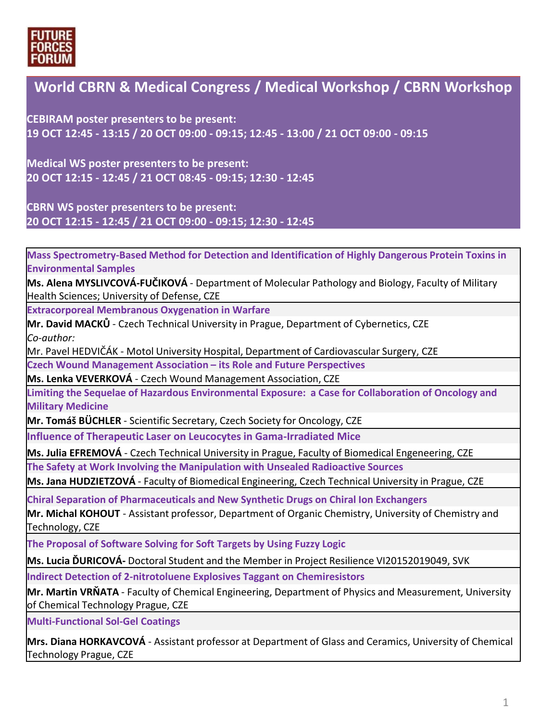

#### **World CBRN & Medical Congress / Medical Workshop / CBRN Workshop**

**CEBIRAM poster presenters to be present: 19 OCT 12:45 - 13:15 / 20 OCT 09:00 - 09:15; 12:45 - 13:00 / 21 OCT 09:00 - 09:15**

**Medical WS poster presenters to be present: 20 OCT 12:15 - 12:45 / 21 OCT 08:45 - 09:15; 12:30 - 12:45**

**CBRN WS poster presenters to be present: 20 OCT 12:15 - 12:45 / 21 OCT 09:00 - 09:15; 12:30 - 12:45**

**Mass Spectrometry-Based Method for Detection and Identification of Highly Dangerous Protein Toxins in Environmental Samples**

**Ms. Alena MYSLIVCOVÁ-FUČIKOVÁ** - Department of Molecular Pathology and Biology, Faculty of Military Health Sciences; University of Defense, CZE

**Extracorporeal Membranous Oxygenation in Warfare**

**Mr. David MACKŮ** - Czech Technical University in Prague, Department of Cybernetics, CZE *Co-author:* 

Mr. Pavel HEDVIČÁK - Motol University Hospital, Department of Cardiovascular Surgery, CZE

**Czech Wound Management Association – its Role and Future Perspectives**

**Ms. Lenka VEVERKOVÁ** - Czech Wound Management Association, CZE

**Limiting the Sequelae of Hazardous Environmental Exposure: a Case for Collaboration of Oncology and Military Medicine**

**Mr. Tomáš BÜCHLER** - Scientific Secretary, Czech Society for Oncology, CZE

**Influence of Therapeutic Laser on Leucocytes in Gama-Irradiated Mice**

**Ms. Julia EFREMOVÁ** - Czech Technical University in Prague, Faculty of Biomedical Engeneering, CZE

**The Safety at Work Involving the Manipulation with Unsealed Radioactive Sources**

**Ms. Jana HUDZIETZOVÁ** - Faculty of Biomedical Engineering, Czech Technical University in Prague, CZE

**Chiral Separation of Pharmaceuticals and New Synthetic Drugs on Chiral Ion Exchangers**

**Mr. Michal KOHOUT** - Assistant professor, Department of Organic Chemistry, University of Chemistry and Technology, CZE

**The Proposal of Software Solving for Soft Targets by Using Fuzzy Logic**

**Ms. Lucia ĎURICOVÁ-** Doctoral Student and the Member in Project Resilience VI20152019049, SVK

**Indirect Detection of 2-nitrotoluene Explosives Taggant on Chemiresistors**

**Mr. Martin VRŇATA** - Faculty of Chemical Engineering, Department of Physics and Measurement, University of Chemical Technology Prague, CZE

**Multi-Functional Sol-Gel Coatings**

**Mrs. Diana HORKAVCOVÁ** - Assistant professor at Department of Glass and Ceramics, University of Chemical Technology Prague, CZE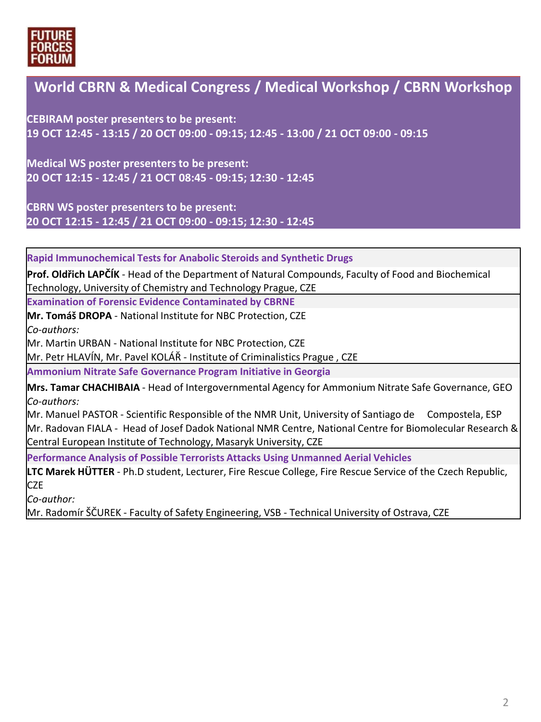

### **World CBRN & Medical Congress / Medical Workshop / CBRN Workshop**

**CEBIRAM poster presenters to be present: 19 OCT 12:45 - 13:15 / 20 OCT 09:00 - 09:15; 12:45 - 13:00 / 21 OCT 09:00 - 09:15**

**Medical WS poster presenters to be present: 20 OCT 12:15 - 12:45 / 21 OCT 08:45 - 09:15; 12:30 - 12:45**

**CBRN WS poster presenters to be present: 20 OCT 12:15 - 12:45 / 21 OCT 09:00 - 09:15; 12:30 - 12:45**

**Rapid Immunochemical Tests for Anabolic Steroids and Synthetic Drugs**

**Prof. Oldřich LAPČÍK** - Head of the Department of Natural Compounds, Faculty of Food and Biochemical Technology, University of Chemistry and Technology Prague, CZE

**Examination of Forensic Evidence Contaminated by CBRNE**

**Mr. Tomáš DROPA** - National Institute for NBC Protection, CZE

*Co-authors:* 

Mr. Martin URBAN - National Institute for NBC Protection, CZE

Mr. Petr HLAVÍN, Mr. Pavel KOLÁŘ - Institute of Criminalistics Prague , CZE

**Ammonium Nitrate Safe Governance Program Initiative in Georgia**

**Mrs. Tamar CHACHIBAIA** - Head of Intergovernmental Agency for Ammonium Nitrate Safe Governance, GEO *Co-authors:*

Mr. Manuel PASTOR - Scientific Responsible of the NMR Unit, University of Santiago de Compostela, ESP Mr. Radovan FIALA - Head of Josef Dadok National NMR Centre, National Centre for Biomolecular Research & Central European Institute of Technology, Masaryk University, CZE

**Performance Analysis of Possible Terrorists Attacks Using Unmanned Aerial Vehicles**

**LTC Marek HÜTTER** - Ph.D student, Lecturer, Fire Rescue College, Fire Rescue Service of the Czech Republic, **CZE** 

*Co-author:*

Mr. Radomír ŠČUREK - Faculty of Safety Engineering, VSB - Technical University of Ostrava, CZE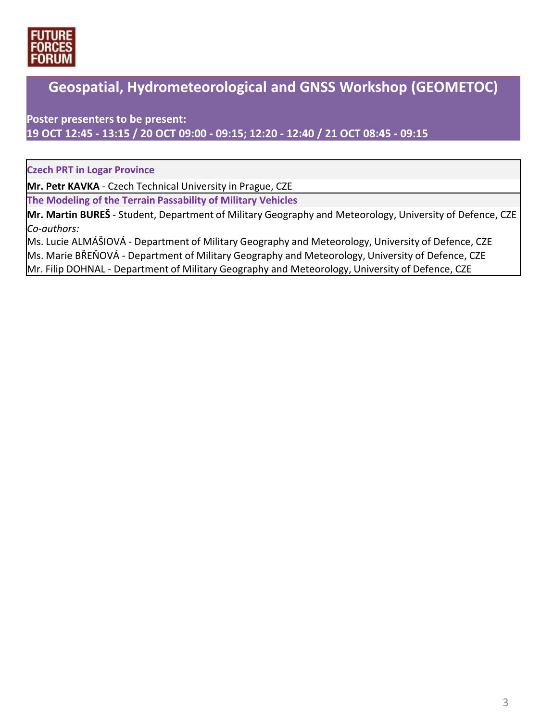

## **Geospatial, Hydrometeorological and GNSS Workshop (GEOMETOC)**

**Poster presenters to be present: 19 OCT 12:45 - 13:15 / 20 OCT 09:00 - 09:15; 12:20 - 12:40 / 21 OCT 08:45 - 09:15**

**Czech PRT in Logar Province**

**Mr. Petr KAVKA** - Czech Technical University in Prague, CZE

**The Modeling of the Terrain Passability of Military Vehicles**

**Mr. Martin BUREŠ** - Student, Department of Military Geography and Meteorology, University of Defence, CZE *Co-authors:*

Ms. Lucie ALMÁŠIOVÁ - Department of Military Geography and Meteorology, University of Defence, CZE Ms. Marie BŘEŇOVÁ - Department of Military Geography and Meteorology, University of Defence, CZE Mr. Filip DOHNAL - Department of Military Geography and Meteorology, University of Defence, CZE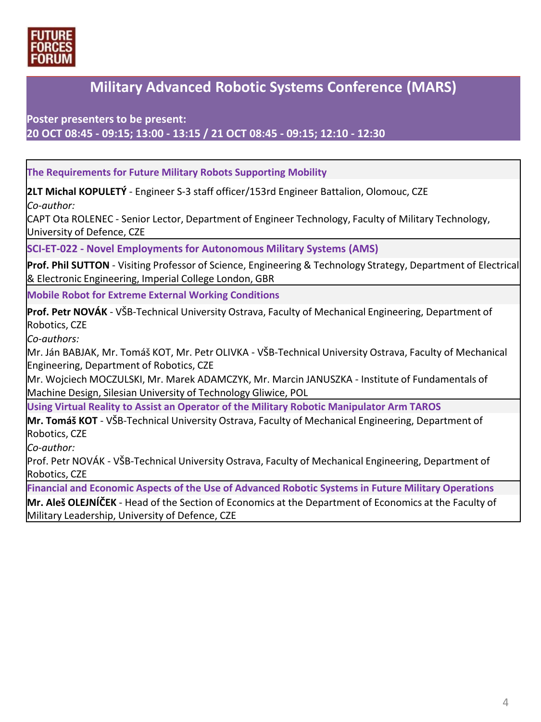

#### **Military Advanced Robotic Systems Conference (MARS)**

**Poster presenters to be present: 20 OCT 08:45 - 09:15; 13:00 - 13:15 / 21 OCT 08:45 - 09:15; 12:10 - 12:30**

**The Requirements for Future Military Robots Supporting Mobility**

**2LT Michal KOPULETÝ** - Engineer S-3 staff officer/153rd Engineer Battalion, Olomouc, CZE *Co-author:* 

CAPT Ota ROLENEC - Senior Lector, Department of Engineer Technology, Faculty of Military Technology, University of Defence, CZE

**SCI-ET-022 - Novel Employments for Autonomous Military Systems (AMS)**

**Prof. Phil SUTTON** - Visiting Professor of Science, Engineering & Technology Strategy, Department of Electrical & Electronic Engineering, Imperial College London, GBR

**Mobile Robot for Extreme External Working Conditions**

**Prof. Petr NOVÁK** - VŠB-Technical University Ostrava, Faculty of Mechanical Engineering, Department of Robotics, CZE

*Co-authors:*

Mr. Ján BABJAK, Mr. Tomáš KOT, Mr. Petr OLIVKA - VŠB-Technical University Ostrava, Faculty of Mechanical Engineering, Department of Robotics, CZE

Mr. Wojciech MOCZULSKI, Mr. Marek ADAMCZYK, Mr. Marcin JANUSZKA - Institute of Fundamentals of Machine Design, Silesian University of Technology Gliwice, POL

**Using Virtual Reality to Assist an Operator of the Military Robotic Manipulator Arm TAROS**

**Mr. Tomáš KOT** - VŠB-Technical University Ostrava, Faculty of Mechanical Engineering, Department of Robotics, CZE

*Co-author:*

Prof. Petr NOVÁK - VŠB-Technical University Ostrava, Faculty of Mechanical Engineering, Department of Robotics, CZE

**Financial and Economic Aspects of the Use of Advanced Robotic Systems in Future Military Operations**

**Mr. Aleš OLEJNÍČEK** - Head of the Section of Economics at the Department of Economics at the Faculty of Military Leadership, University of Defence, CZE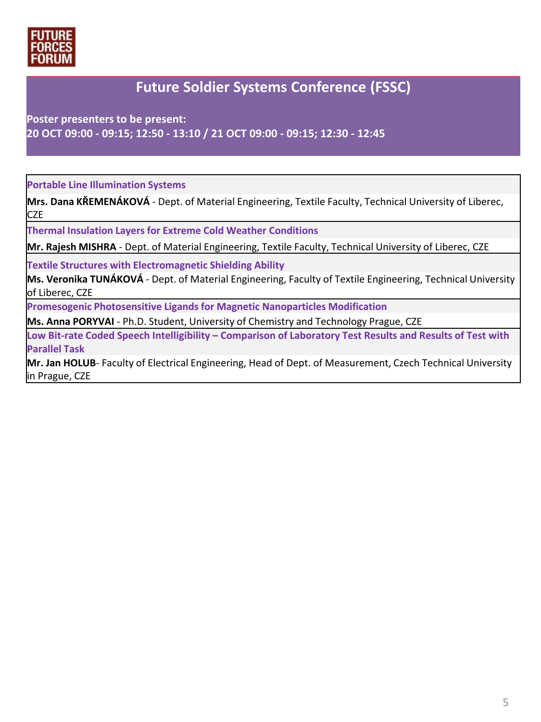

#### **Future Soldier Systems Conference (FSSC)**

**Poster presenters to be present: 20 OCT 09:00 - 09:15; 12:50 - 13:10 / 21 OCT 09:00 - 09:15; 12:30 - 12:45**

**Portable Line Illumination Systems**

**Mrs. Dana KŘEMENÁKOVÁ** - Dept. of Material Engineering, Textile Faculty, Technical University of Liberec, CZE

**Thermal Insulation Layers for Extreme Cold Weather Conditions**

**Mr. Rajesh MISHRA** - Dept. of Material Engineering, Textile Faculty, Technical University of Liberec, CZE

**Textile Structures with Electromagnetic Shielding Ability**

**Ms. Veronika TUNÁKOVÁ** - Dept. of Material Engineering, Faculty of Textile Engineering, Technical University of Liberec, CZE

**Promesogenic Photosensitive Ligands for Magnetic Nanoparticles Modification**

**Ms. Anna PORYVAI** - Ph.D. Student, University of Chemistry and Technology Prague, CZE

**Low Bit-rate Coded Speech Intelligibility – Comparison of Laboratory Test Results and Results of Test with Parallel Task**

**Mr. Jan HOLUB**- Faculty of Electrical Engineering, Head of Dept. of Measurement, Czech Technical University in Prague, CZE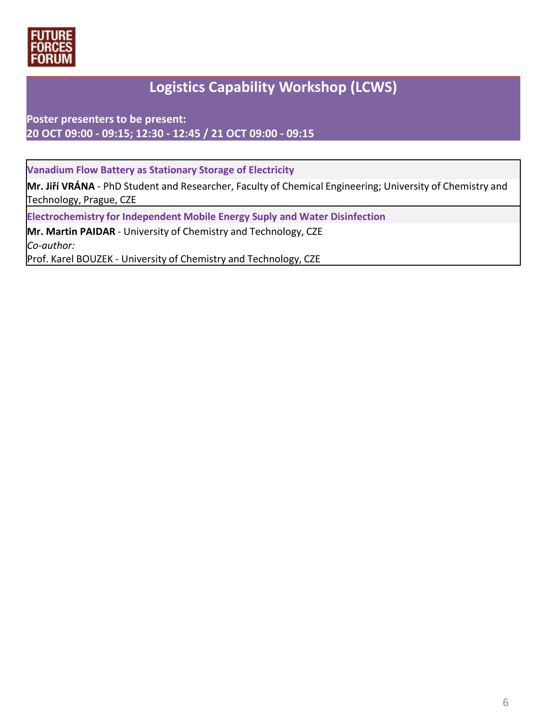

# **Logistics Capability Workshop (LCWS)**

**Poster presenters to be present: 20 OCT 09:00 - 09:15; 12:30 - 12:45 / 21 OCT 09:00 - 09:15**

**Vanadium Flow Battery as Stationary Storage of Electricity**

**Mr. Jiří VRÁNA** - PhD Student and Researcher, Faculty of Chemical Engineering; University of Chemistry and Technology, Prague, CZE

**Electrochemistry for Independent Mobile Energy Suply and Water Disinfection**

**Mr. Martin PAIDAR** - University of Chemistry and Technology, CZE *Co-author:* Prof. Karel BOUZEK - University of Chemistry and Technology, CZE